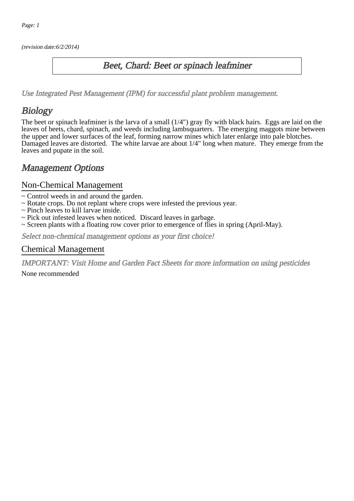(revision date:6/2/2014)

### Beet, Chard: Beet or spinach leafminer

[Use Integrated Pest Management \(IPM\) for successful plant problem management.](http://pep.wsu.edu/Home_Garden/H_G_Pesticide_info/urban_Integrated_Pest_Managmen/)

## Biology

The beet or spinach leafminer is the larva of a small (1/4") gray fly with black hairs. Eggs are laid on the leaves of beets, chard, spinach, and weeds including lambsquarters. The emerging maggots mine between the upper and lower surfaces of the leaf, forming narrow mines which later enlarge into pale blotches. Damaged leaves are distorted. The white larvae are about 1/4" long when mature. They emerge from the leaves and pupate in the soil.

## Management Options

#### Non-Chemical Management

- ~ Control weeds in and around the garden.
- ~ Rotate crops. Do not replant where crops were infested the previous year.
- ~ Pinch leaves to kill larvae inside.
- ~ Pick out infested leaves when noticed. Discard leaves in garbage.
- ~ Screen plants with a floating row cover prior to emergence of flies in spring (April-May).

Select non-chemical management options as your first choice!

#### Chemical Management

IMPORTANT: [Visit Home and Garden Fact Sheets for more information on using pesticides](http://pep.wsu.edu/Home_Garden/H_G_Pesticide_info/)

None recommended